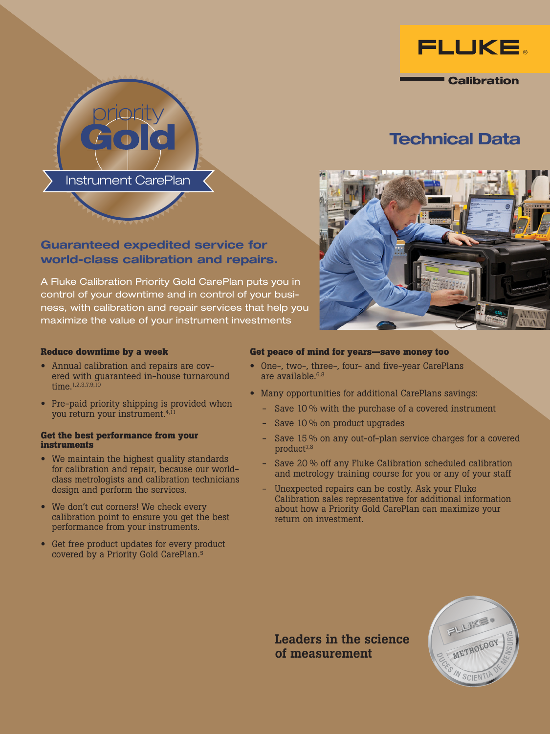

**Calibration** 

# Technical Data



## Guaranteed expedited service for world-class calibration and repairs.

Instrument CarePlan

A Fluke Calibration Priority Gold CarePlan puts you in control of your downtime and in control of your business, with calibration and repair services that help you maximize the value of your instrument investments

## **Reduce downtime by a week**

- Annual calibration and repairs are covered with guaranteed in-house turnaround time.<sup>1,2,3,7,9,10</sup>
- Pre-paid priority shipping is provided when you return your instrument.4,11

#### **Get the best performance from your instruments**

- We maintain the highest quality standards for calibration and repair, because our worldclass metrologists and calibration technicians design and perform the services.
- We don't cut corners! We check every calibration point to ensure you get the best performance from your instruments.
- Get free product updates for every product covered by a Priority Gold CarePlan.5

## **Get peace of mind for years—save money too**

- One-, two-, three-, four- and five-year CarePlans are available.<sup>6,8</sup>
- Many opportunities for additional CarePlans savings:
	- Save 10 % with the purchase of a covered instrument
	- Save 10 % on product upgrades
	- Save 15 % on any out-of-plan service charges for a covered product<sup>7,8</sup>
	- Save 20 % off any Fluke Calibration scheduled calibration and metrology training course for you or any of your staff
	- Unexpected repairs can be costly. Ask your Fluke Calibration sales representative for additional information about how a Priority Gold CarePlan can maximize your return on investment.

of measurement